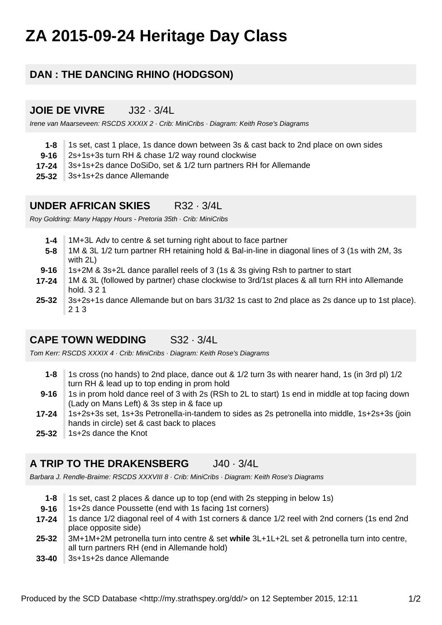# **ZA 2015-09-24 Heritage Day Class**

# **DAN : THE DANCING RHINO (HODGSON)**

#### **JOIE DE VIVRE** J32 · 3/4L

Irene van Maarseveen: RSCDS XXXIX 2 · Crib: MiniCribs · Diagram: Keith Rose's Diagrams

- **1-8** 1s set, cast 1 place, 1s dance down between 3s & cast back to 2nd place on own sides
- **9-16** 2s+1s+3s turn RH & chase 1/2 way round clockwise
- **17-24** 3s+1s+2s dance DoSiDo, set & 1/2 turn partners RH for Allemande
- **25-32** 3s+1s+2s dance Allemande

#### **UNDER AFRICAN SKIES** R32 · 3/4L

Roy Goldring: Many Happy Hours - Pretoria 35th · Crib: MiniCribs

- **1-4** 1M+3L Adv to centre & set turning right about to face partner
- **5-8** 1M & 3L 1/2 turn partner RH retaining hold & Bal-in-line in diagonal lines of 3 (1s with 2M, 3s with 2L)
- **9-16** 1s+2M & 3s+2L dance parallel reels of 3 (1s & 3s giving Rsh to partner to start
- **17-24** 1M & 3L (followed by partner) chase clockwise to 3rd/1st places & all turn RH into Allemande hold. 3 2 1
- **25-32** 3s+2s+1s dance Allemande but on bars 31/32 1s cast to 2nd place as 2s dance up to 1st place). 2 1 3

### **CAPE TOWN WEDDING** S32 · 3/4L

Tom Kerr: RSCDS XXXIX 4 · Crib: MiniCribs · Diagram: Keith Rose's Diagrams

- **1-8** 1s cross (no hands) to 2nd place, dance out & 1/2 turn 3s with nearer hand, 1s (in 3rd pl) 1/2 turn RH & lead up to top ending in prom hold
- **9-16** 1s in prom hold dance reel of 3 with 2s (RSh to 2L to start) 1s end in middle at top facing down (Lady on Mans Left) & 3s step in & face up
- **17-24** 1s+2s+3s set, 1s+3s Petronella-in-tandem to sides as 2s petronella into middle, 1s+2s+3s (join hands in circle) set & cast back to places
- **25-32** 1s+2s dance the Knot

# **A TRIP TO THE DRAKENSBERG** J40 · 3/4L

Barbara J. Rendle-Braime: RSCDS XXXVIII 8 · Crib: MiniCribs · Diagram: Keith Rose's Diagrams

- **1-8** 1s set, cast 2 places & dance up to top (end with 2s stepping in below 1s)
- **9-16** 1s+2s dance Poussette (end with 1s facing 1st corners)
- **17-24** 1s dance 1/2 diagonal reel of 4 with 1st corners & dance 1/2 reel with 2nd corners (1s end 2nd place opposite side)
- **25-32** 3M+1M+2M petronella turn into centre & set **while** 3L+1L+2L set & petronella turn into centre, all turn partners RH (end in Allemande hold)
- **33-40** 3s+1s+2s dance Allemande